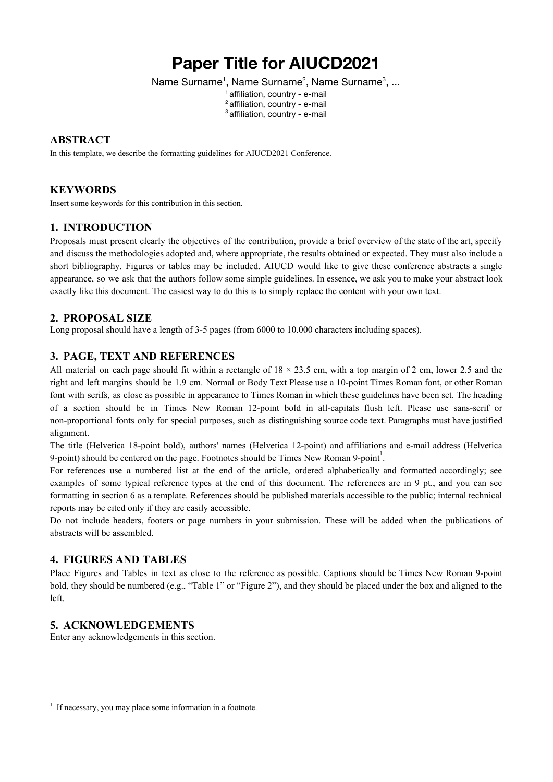# **Paper Title for AIUCD2021**

Name Surname<sup>1</sup>, Name Surname<sup>2</sup>, Name Surname<sup>3</sup>, ...

<sup>1</sup> affiliation, country - e-mail <sup>2</sup> affiliation, country - e-mail <sup>3</sup> affiliation, country - e-mail

# **ABSTRACT**

In this template, we describe the formatting guidelines for AIUCD2021 Conference.

# **KEYWORDS**

Insert some keywords for this contribution in this section.

# **1. INTRODUCTION**

Proposals must present clearly the objectives of the contribution, provide a brief overview of the state of the art, specify and discuss the methodologies adopted and, where appropriate, the results obtained or expected. They must also include a short bibliography. Figures or tables may be included. AIUCD would like to give these conference abstracts a single appearance, so we ask that the authors follow some simple guidelines. In essence, we ask you to make your abstract look exactly like this document. The easiest way to do this is to simply replace the content with your own text.

# **2. PROPOSAL SIZE**

Long proposal should have a length of 3-5 pages (from 6000 to 10.000 characters including spaces).

### **3. PAGE, TEXT AND REFERENCES**

All material on each page should fit within a rectangle of  $18 \times 23.5$  cm, with a top margin of 2 cm, lower 2.5 and the right and left margins should be 1.9 cm. Normal or Body Text Please use a 10-point Times Roman font, or other Roman font with serifs, as close as possible in appearance to Times Roman in which these guidelines have been set. The heading of a section should be in Times New Roman 12-point bold in all-capitals flush left. Please use sans-serif or non-proportional fonts only for special purposes, such as distinguishing source code text. Paragraphs must have justified alignment.

The title (Helvetica 18-point bold), authors' names (Helvetica 12-point) and affiliations and e-mail address (Helvetica 9-point) should be centered on the page. Footnotes should be Times New Roman 9-point<sup>1</sup>.

For references use a numbered list at the end of the article, ordered alphabetically and formatted accordingly; see examples of some typical reference types at the end of this document. The references are in 9 pt., and you can see formatting in section 6 as a template. References should be published materials accessible to the public; internal technical reports may be cited only if they are easily accessible.

Do not include headers, footers or page numbers in your submission. These will be added when the publications of abstracts will be assembled.

### **4. FIGURES AND TABLES**

Place Figures and Tables in text as close to the reference as possible. Captions should be Times New Roman 9-point bold, they should be numbered (e.g., "Table 1" or "Figure 2"), and they should be placed under the box and aligned to the left.

### **5. ACKNOWLEDGEMENTS**

Enter any acknowledgements in this section.

<sup>1</sup> If necessary, you may place some information in a footnote.